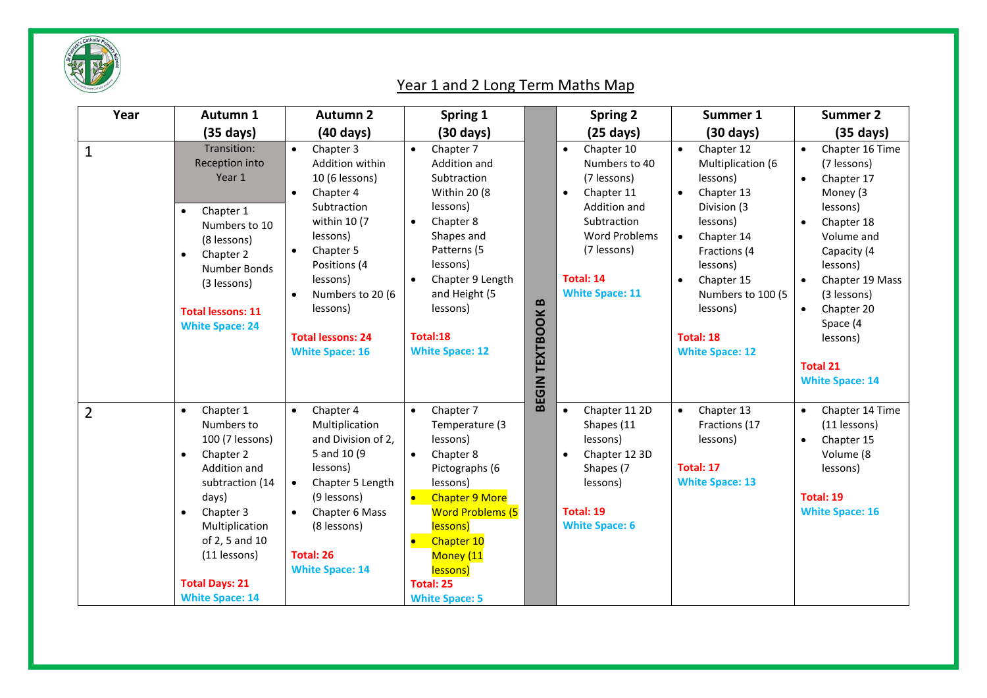

## Year 1 and 2 Long Term Maths Map

| Year           | Autumn 1                                                                                                                                                                                                                                                       | <b>Autumn 2</b>                                                                                                                                                                                                                                                              | Spring 1                                                                                                                                                                                                                                                                      |                                       | <b>Spring 2</b>                                                                                                                                                                                        | Summer 1                                                                                                                                                                                                                                              | <b>Summer 2</b>                                                                                                                                                                                                                                                                                      |
|----------------|----------------------------------------------------------------------------------------------------------------------------------------------------------------------------------------------------------------------------------------------------------------|------------------------------------------------------------------------------------------------------------------------------------------------------------------------------------------------------------------------------------------------------------------------------|-------------------------------------------------------------------------------------------------------------------------------------------------------------------------------------------------------------------------------------------------------------------------------|---------------------------------------|--------------------------------------------------------------------------------------------------------------------------------------------------------------------------------------------------------|-------------------------------------------------------------------------------------------------------------------------------------------------------------------------------------------------------------------------------------------------------|------------------------------------------------------------------------------------------------------------------------------------------------------------------------------------------------------------------------------------------------------------------------------------------------------|
|                | $(35 \text{ days})$                                                                                                                                                                                                                                            | $(40 \text{ days})$                                                                                                                                                                                                                                                          | $(30 \text{ days})$                                                                                                                                                                                                                                                           |                                       | $(25 \text{ days})$                                                                                                                                                                                    | $(30 \text{ days})$                                                                                                                                                                                                                                   | $(35 \text{ days})$                                                                                                                                                                                                                                                                                  |
| $\mathbf{1}$   | Transition:<br>Reception into<br>Year 1<br>Chapter 1<br>$\bullet$<br>Numbers to 10<br>(8 lessons)<br>Chapter 2<br>$\bullet$<br><b>Number Bonds</b><br>(3 lessons)<br><b>Total lessons: 11</b><br><b>White Space: 24</b>                                        | Chapter 3<br>$\bullet$<br>Addition within<br>10 (6 lessons)<br>Chapter 4<br>$\bullet$<br>Subtraction<br>within 10 (7<br>lessons)<br>Chapter 5<br>$\bullet$<br>Positions (4<br>lessons)<br>Numbers to 20 (6<br>lessons)<br><b>Total lessons: 24</b><br><b>White Space: 16</b> | Chapter 7<br>$\bullet$<br>Addition and<br>Subtraction<br><b>Within 20 (8)</b><br>lessons)<br>Chapter 8<br>$\bullet$<br>Shapes and<br>Patterns (5<br>lessons)<br>Chapter 9 Length<br>$\bullet$<br>and Height (5<br>lessons)<br>Total:18<br><b>White Space: 12</b>              | $\mathbf{B}$<br><b>BEGIN TEXTBOOK</b> | Chapter 10<br>$\bullet$<br>Numbers to 40<br>(7 lessons)<br>Chapter 11<br>$\bullet$<br>Addition and<br>Subtraction<br><b>Word Problems</b><br>(7 lessons)<br><b>Total: 14</b><br><b>White Space: 11</b> | Chapter 12<br>$\bullet$<br>Multiplication (6<br>lessons)<br>Chapter 13<br>Division (3<br>lessons)<br>Chapter 14<br>$\bullet$<br>Fractions (4<br>lessons)<br>Chapter 15<br>Numbers to 100 (5<br>lessons)<br><b>Total: 18</b><br><b>White Space: 12</b> | Chapter 16 Time<br>$\bullet$<br>(7 lessons)<br>Chapter 17<br>$\bullet$<br>Money (3<br>lessons)<br>Chapter 18<br>$\bullet$<br>Volume and<br>Capacity (4<br>lessons)<br>Chapter 19 Mass<br>(3 lessons)<br>Chapter 20<br>$\bullet$<br>Space (4<br>lessons)<br><b>Total 21</b><br><b>White Space: 14</b> |
| $\overline{2}$ | Chapter 1<br>$\bullet$<br>Numbers to<br>100 (7 lessons)<br>Chapter 2<br>$\bullet$<br>Addition and<br>subtraction (14<br>days)<br>Chapter 3<br>$\bullet$<br>Multiplication<br>of 2, 5 and 10<br>(11 lessons)<br><b>Total Days: 21</b><br><b>White Space: 14</b> | Chapter 4<br>$\bullet$<br>Multiplication<br>and Division of 2,<br>5 and 10 (9)<br>lessons)<br>Chapter 5 Length<br>$\bullet$<br>(9 lessons)<br>Chapter 6 Mass<br>$\bullet$<br>(8 lessons)<br>Total: 26<br><b>White Space: 14</b>                                              | Chapter 7<br>$\bullet$<br>Temperature (3<br>lessons)<br>Chapter 8<br>$\bullet$<br>Pictographs (6<br>lessons)<br>$\bullet$<br><b>Chapter 9 More</b><br><b>Word Problems (5</b><br>lessons)<br>Chapter 10<br>Money (11<br>lessons)<br><b>Total: 25</b><br><b>White Space: 5</b> |                                       | Chapter 11 2D<br>Shapes (11<br>lessons)<br>Chapter 12 3D<br>$\bullet$<br>Shapes (7<br>lessons)<br>Total: 19<br><b>White Space: 6</b>                                                                   | Chapter 13<br>$\bullet$<br>Fractions (17<br>lessons)<br><b>Total: 17</b><br><b>White Space: 13</b>                                                                                                                                                    | Chapter 14 Time<br>$\bullet$<br>(11 lessons)<br>Chapter 15<br>Volume (8<br>lessons)<br><b>Total: 19</b><br><b>White Space: 16</b>                                                                                                                                                                    |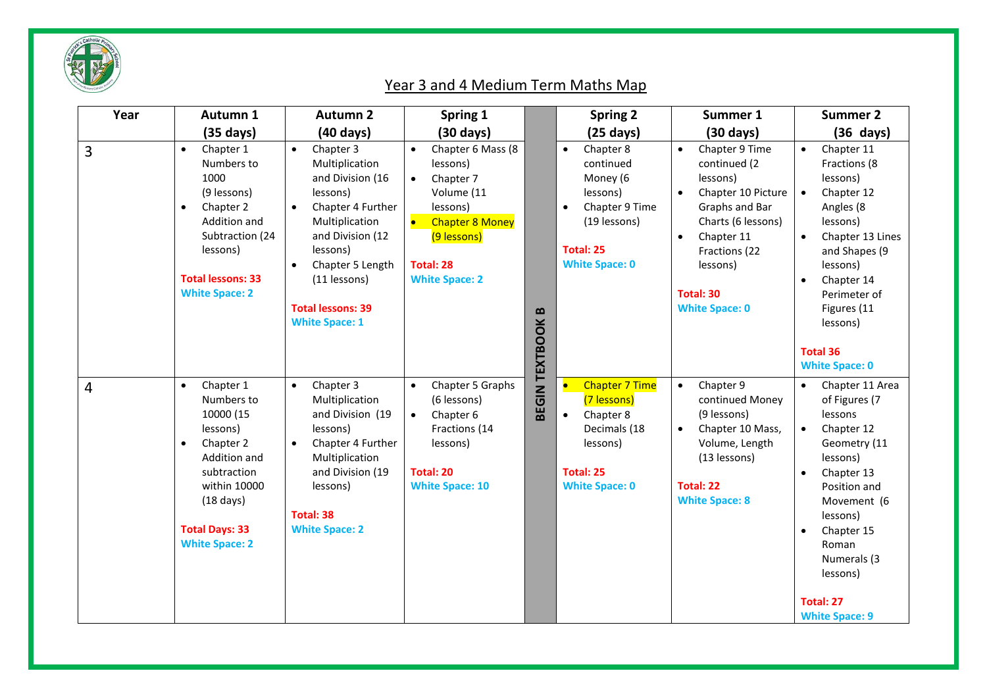

## Year 3 and 4 Medium Term Maths Map

| Year           | Autumn 1                                                                                                                                                                                                        | <b>Autumn 2</b>                                                                                                                                                                                                                                       | Spring 1                                                                                                                                                                                          |                       | <b>Spring 2</b>                                                                                                                                         | Summer 1                                                                                                                                                                                                                                | <b>Summer 2</b>                                                                                                                                                                                                            |
|----------------|-----------------------------------------------------------------------------------------------------------------------------------------------------------------------------------------------------------------|-------------------------------------------------------------------------------------------------------------------------------------------------------------------------------------------------------------------------------------------------------|---------------------------------------------------------------------------------------------------------------------------------------------------------------------------------------------------|-----------------------|---------------------------------------------------------------------------------------------------------------------------------------------------------|-----------------------------------------------------------------------------------------------------------------------------------------------------------------------------------------------------------------------------------------|----------------------------------------------------------------------------------------------------------------------------------------------------------------------------------------------------------------------------|
|                | $(35 \text{ days})$                                                                                                                                                                                             | $(40 \text{ days})$                                                                                                                                                                                                                                   | $(30 \text{ days})$                                                                                                                                                                               |                       | $(25 \text{ days})$                                                                                                                                     | $(30 \text{ days})$                                                                                                                                                                                                                     | $(36 \text{ days})$                                                                                                                                                                                                        |
| 3              | Chapter 1<br>$\bullet$<br>Numbers to<br>1000<br>(9 lessons)<br>Chapter 2<br>$\bullet$<br>Addition and<br>Subtraction (24<br>lessons)<br><b>Total lessons: 33</b><br><b>White Space: 2</b>                       | Chapter 3<br>$\bullet$<br>Multiplication<br>and Division (16<br>lessons)<br>Chapter 4 Further<br>$\bullet$<br>Multiplication<br>and Division (12<br>lessons)<br>Chapter 5 Length<br>(11 lessons)<br><b>Total lessons: 39</b><br><b>White Space: 1</b> | Chapter 6 Mass (8<br>$\bullet$<br>lessons)<br>$\bullet$<br>Chapter 7<br>Volume (11<br>lessons)<br>$\bullet$<br><b>Chapter 8 Money</b><br>(9 lessons)<br><b>Total: 28</b><br><b>White Space: 2</b> | $\bf{D}$              | Chapter 8<br>$\bullet$<br>continued<br>Money (6<br>lessons)<br>Chapter 9 Time<br>$\bullet$<br>(19 lessons)<br><b>Total: 25</b><br><b>White Space: 0</b> | Chapter 9 Time<br>$\bullet$<br>continued (2<br>lessons)<br>Chapter 10 Picture<br>$\bullet$<br>Graphs and Bar<br>Charts (6 lessons)<br>Chapter 11<br>$\bullet$<br>Fractions (22<br>lessons)<br><b>Total: 30</b><br><b>White Space: 0</b> | Chapter 11<br>$\bullet$<br>Fractions (8<br>lessons)<br>Chapter 12<br>$\bullet$<br>Angles (8<br>lessons)<br>Chapter 13 Lines<br>and Shapes (9<br>lessons)<br>Chapter 14<br>Perimeter of<br>Figures (11<br>lessons)          |
|                |                                                                                                                                                                                                                 |                                                                                                                                                                                                                                                       |                                                                                                                                                                                                   |                       |                                                                                                                                                         |                                                                                                                                                                                                                                         | <b>Total 36</b><br><b>White Space: 0</b>                                                                                                                                                                                   |
| $\overline{4}$ | Chapter 1<br>$\bullet$<br>Numbers to<br>10000 (15<br>lessons)<br>Chapter 2<br>$\bullet$<br>Addition and<br>subtraction<br>within 10000<br>$(18 \text{ days})$<br><b>Total Days: 33</b><br><b>White Space: 2</b> | Chapter 3<br>$\bullet$<br>Multiplication<br>and Division (19<br>lessons)<br>Chapter 4 Further<br>$\bullet$<br>Multiplication<br>and Division (19<br>lessons)<br><b>Total: 38</b><br><b>White Space: 2</b>                                             | Chapter 5 Graphs<br>$\bullet$<br>(6 lessons)<br>$\bullet$<br>Chapter 6<br>Fractions (14<br>lessons)<br><b>Total: 20</b><br><b>White Space: 10</b>                                                 | <b>BEGIN TEXTBOOK</b> | <b>Chapter 7 Time</b><br>(7 lessons)<br>Chapter 8<br>$\bullet$<br>Decimals (18<br>lessons)<br><b>Total: 25</b><br><b>White Space: 0</b>                 | Chapter 9<br>$\bullet$<br>continued Money<br>(9 lessons)<br>Chapter 10 Mass,<br>$\bullet$<br>Volume, Length<br>(13 lessons)<br><b>Total: 22</b><br><b>White Space: 8</b>                                                                | Chapter 11 Area<br>$\bullet$<br>of Figures (7<br>lessons<br>Chapter 12<br>$\bullet$<br>Geometry (11<br>lessons)<br>Chapter 13<br>Position and<br>Movement (6<br>lessons)<br>Chapter 15<br>Roman<br>Numerals (3<br>lessons) |
|                |                                                                                                                                                                                                                 |                                                                                                                                                                                                                                                       |                                                                                                                                                                                                   |                       |                                                                                                                                                         |                                                                                                                                                                                                                                         | <b>Total: 27</b><br><b>White Space: 9</b>                                                                                                                                                                                  |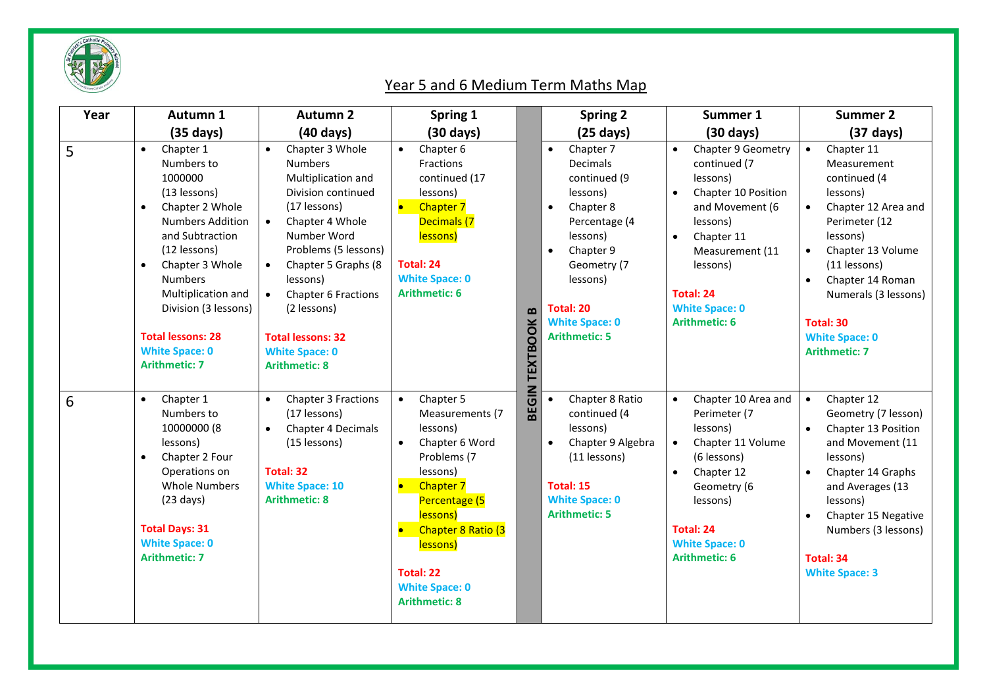

## Year 5 and 6 Medium Term Maths Map

| Year | Autumn 1                                                                                                                                                                                                                                                                                                                                   | <b>Autumn 2</b>                                                                                                                                                                                                                                                                                                                                                   | Spring 1                                                                                                                                                                                                                                            |                                 | <b>Spring 2</b>                                                                                                                                                                                                                                 | Summer 1                                                                                                                                                                                                                                   | <b>Summer 2</b>                                                                                                                                                                                                                                                                                                     |
|------|--------------------------------------------------------------------------------------------------------------------------------------------------------------------------------------------------------------------------------------------------------------------------------------------------------------------------------------------|-------------------------------------------------------------------------------------------------------------------------------------------------------------------------------------------------------------------------------------------------------------------------------------------------------------------------------------------------------------------|-----------------------------------------------------------------------------------------------------------------------------------------------------------------------------------------------------------------------------------------------------|---------------------------------|-------------------------------------------------------------------------------------------------------------------------------------------------------------------------------------------------------------------------------------------------|--------------------------------------------------------------------------------------------------------------------------------------------------------------------------------------------------------------------------------------------|---------------------------------------------------------------------------------------------------------------------------------------------------------------------------------------------------------------------------------------------------------------------------------------------------------------------|
|      | $(35 \text{ days})$                                                                                                                                                                                                                                                                                                                        | $(40 \text{ days})$                                                                                                                                                                                                                                                                                                                                               | $(30 \text{ days})$                                                                                                                                                                                                                                 |                                 | $(25 \text{ days})$                                                                                                                                                                                                                             | $(30 \text{ days})$                                                                                                                                                                                                                        | $(37 \text{ days})$                                                                                                                                                                                                                                                                                                 |
| 5    | Chapter 1<br>$\bullet$<br>Numbers to<br>1000000<br>(13 lessons)<br>Chapter 2 Whole<br>$\bullet$<br><b>Numbers Addition</b><br>and Subtraction<br>(12 lessons)<br>Chapter 3 Whole<br>$\bullet$<br><b>Numbers</b><br>Multiplication and<br>Division (3 lessons)<br><b>Total lessons: 28</b><br><b>White Space: 0</b><br><b>Arithmetic: 7</b> | Chapter 3 Whole<br>$\bullet$<br><b>Numbers</b><br>Multiplication and<br>Division continued<br>(17 lessons)<br>$\bullet$<br>Chapter 4 Whole<br>Number Word<br>Problems (5 lessons)<br>Chapter 5 Graphs (8<br>$\bullet$<br>lessons)<br>Chapter 6 Fractions<br>$\bullet$<br>(2 lessons)<br><b>Total lessons: 32</b><br><b>White Space: 0</b><br><b>Arithmetic: 8</b> | Chapter 6<br>Fractions<br>continued (17<br>lessons)<br><b>Chapter 7</b><br>Decimals (7<br>lessons)<br><b>Total: 24</b><br><b>White Space: 0</b><br><b>Arithmetic: 6</b>                                                                             | $\mathbf{a}$<br><b>TEXTBOOK</b> | Chapter 7<br>$\bullet$<br>Decimals<br>continued (9<br>lessons)<br>Chapter 8<br>$\bullet$<br>Percentage (4<br>lessons)<br>Chapter 9<br>$\bullet$<br>Geometry (7<br>lessons)<br><b>Total: 20</b><br><b>White Space: 0</b><br><b>Arithmetic: 5</b> | <b>Chapter 9 Geometry</b><br>continued (7<br>lessons)<br>Chapter 10 Position<br>and Movement (6<br>lessons)<br>Chapter 11<br>$\bullet$<br>Measurement (11<br>lessons)<br><b>Total: 24</b><br><b>White Space: 0</b><br><b>Arithmetic: 6</b> | Chapter 11<br>$\bullet$<br>Measurement<br>continued (4<br>lessons)<br>Chapter 12 Area and<br>$\bullet$<br>Perimeter (12<br>lessons)<br>Chapter 13 Volume<br>$\bullet$<br>(11 lessons)<br>Chapter 14 Roman<br>$\bullet$<br>Numerals (3 lessons)<br><b>Total: 30</b><br><b>White Space: 0</b><br><b>Arithmetic: 7</b> |
| 6    | Chapter 1<br>$\bullet$<br>Numbers to<br>10000000 (8<br>lessons)<br>Chapter 2 Four<br>$\bullet$<br>Operations on<br><b>Whole Numbers</b><br>$(23 \text{ days})$<br><b>Total Days: 31</b><br><b>White Space: 0</b><br><b>Arithmetic: 7</b>                                                                                                   | Chapter 3 Fractions<br>$\bullet$<br>(17 lessons)<br>Chapter 4 Decimals<br>$\bullet$<br>(15 lessons)<br><b>Total: 32</b><br><b>White Space: 10</b><br><b>Arithmetic: 8</b>                                                                                                                                                                                         | Chapter 5<br>$\bullet$<br>Measurements (7<br>lessons)<br>Chapter 6 Word<br>Problems (7<br>lessons)<br><b>Chapter 7</b><br>Percentage (5<br>lessons)<br>Chapter 8 Ratio (3<br>lessons)<br>Total: 22<br><b>White Space: 0</b><br><b>Arithmetic: 8</b> | <b>BEGIN</b>                    | Chapter 8 Ratio<br>$\bullet$<br>continued (4<br>lessons)<br>Chapter 9 Algebra<br>$\bullet$<br>(11 lessons)<br>Total: 15<br><b>White Space: 0</b><br><b>Arithmetic: 5</b>                                                                        | Chapter 10 Area and<br>$\bullet$<br>Perimeter (7<br>lessons)<br>Chapter 11 Volume<br>(6 lessons)<br>Chapter 12<br>$\bullet$<br>Geometry (6<br>lessons)<br>Total: 24<br><b>White Space: 0</b><br><b>Arithmetic: 6</b>                       | Chapter 12<br>$\bullet$<br>Geometry (7 lesson)<br>Chapter 13 Position<br>$\bullet$<br>and Movement (11<br>lessons)<br>Chapter 14 Graphs<br>$\bullet$<br>and Averages (13<br>lessons)<br>Chapter 15 Negative<br>$\bullet$<br>Numbers (3 lessons)<br><b>Total: 34</b><br><b>White Space: 3</b>                        |